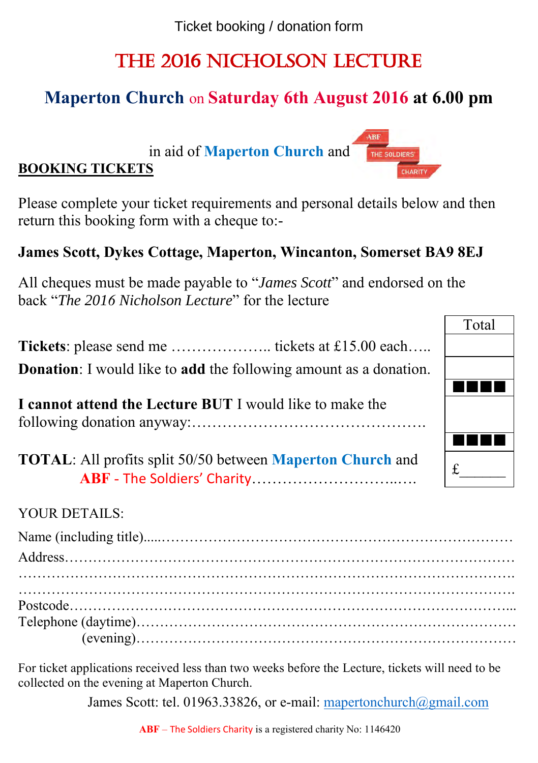Ticket booking / donation form

# The 2016 Nicholson Lecture

# **Maperton Church** on **Saturday 6th August 2016 at 6.00 pm**

in aid of **Maperton Church** and



### **James Scott, Dykes Cottage, Maperton, Wincanton, Somerset BA9 8EJ**

All cheques must be made payable to "*James Scott*" and endorsed on the back "*The 2016 Nicholson Lecture*" for the lecture

**Tickets**: please send me ……………….. tickets at £15.00 each….. **Donation**: I would like to **add** the following amount as a donation.

**I cannot attend the Lecture BUT** I would like to make the following donation anyway:……………………………………….

**TOTAL**: All profits split 50/50 between **Maperton Church** and **ABF** - The Soldiers' Charity………………………..….

#### YOUR DETAILS:

**BOOKING TICKETS** 

For ticket applications received less than two weeks before the Lecture, tickets will need to be collected on the evening at Maperton Church.

James Scott: tel. 01963.33826, or e-mail: mapertonchurch@gmail.com